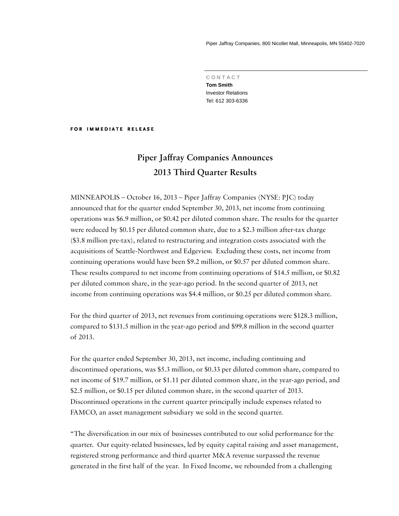Piper Jaffray Companies, 800 Nicollet Mall, Minneapolis, MN 55402-7020

 **C O N T A C T Tom Smith**  Investor Relations Tel: 612 303-6336

#### **FOR IMMEDIATE RELEASE**

# **Piper Jaffray Companies Announces 2013 Third Quarter Results**

MINNEAPOLIS – October 16, 2013 – Piper Jaffray Companies (NYSE: PJC) today announced that for the quarter ended September 30, 2013, net income from continuing operations was \$6.9 million, or \$0.42 per diluted common share. The results for the quarter were reduced by \$0.15 per diluted common share, due to a \$2.3 million after-tax charge (\$3.8 million pre-tax), related to restructuring and integration costs associated with the acquisitions of Seattle-Northwest and Edgeview. Excluding these costs, net income from continuing operations would have been \$9.2 million, or \$0.57 per diluted common share. These results compared to net income from continuing operations of \$14.5 million, or \$0.82 per diluted common share, in the year-ago period. In the second quarter of 2013, net income from continuing operations was \$4.4 million, or \$0.25 per diluted common share.

For the third quarter of 2013, net revenues from continuing operations were \$128.3 million, compared to \$131.5 million in the year-ago period and \$99.8 million in the second quarter of 2013.

For the quarter ended September 30, 2013, net income, including continuing and discontinued operations, was \$5.3 million, or \$0.33 per diluted common share, compared to net income of \$19.7 million, or \$1.11 per diluted common share, in the year-ago period, and \$2.5 million, or \$0.15 per diluted common share, in the second quarter of 2013. Discontinued operations in the current quarter principally include expenses related to FAMCO, an asset management subsidiary we sold in the second quarter.

"The diversification in our mix of businesses contributed to our solid performance for the quarter. Our equity-related businesses, led by equity capital raising and asset management, registered strong performance and third quarter M&A revenue surpassed the revenue generated in the first half of the year. In Fixed Income, we rebounded from a challenging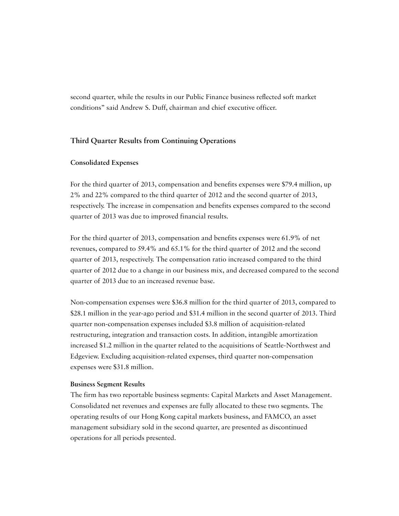second quarter, while the results in our Public Finance business reflected soft market conditions" said Andrew S. Duff, chairman and chief executive officer.

## **Third Quarter Results from Continuing Operations**

#### **Consolidated Expenses**

For the third quarter of 2013, compensation and benefits expenses were \$79.4 million, up 2% and 22% compared to the third quarter of 2012 and the second quarter of 2013, respectively. The increase in compensation and benefits expenses compared to the second quarter of 2013 was due to improved financial results.

For the third quarter of 2013, compensation and benefits expenses were 61.9% of net revenues, compared to 59.4% and 65.1% for the third quarter of 2012 and the second quarter of 2013, respectively. The compensation ratio increased compared to the third quarter of 2012 due to a change in our business mix, and decreased compared to the second quarter of 2013 due to an increased revenue base.

Non-compensation expenses were \$36.8 million for the third quarter of 2013, compared to \$28.1 million in the year-ago period and \$31.4 million in the second quarter of 2013. Third quarter non-compensation expenses included \$3.8 million of acquisition-related restructuring, integration and transaction costs. In addition, intangible amortization increased \$1.2 million in the quarter related to the acquisitions of Seattle-Northwest and Edgeview. Excluding acquisition-related expenses, third quarter non-compensation expenses were \$31.8 million.

#### **Business Segment Results**

The firm has two reportable business segments: Capital Markets and Asset Management. Consolidated net revenues and expenses are fully allocated to these two segments. The operating results of our Hong Kong capital markets business, and FAMCO, an asset management subsidiary sold in the second quarter, are presented as discontinued operations for all periods presented.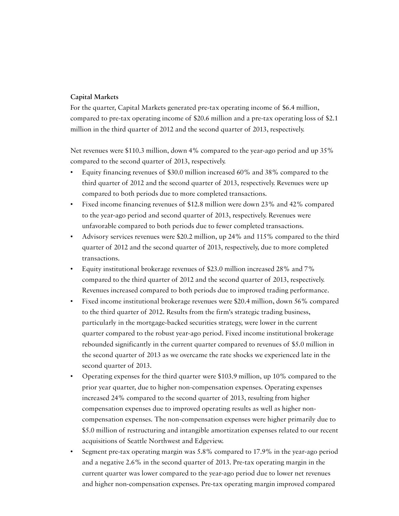### **Capital Markets**

For the quarter, Capital Markets generated pre-tax operating income of \$6.4 million, compared to pre-tax operating income of \$20.6 million and a pre-tax operating loss of \$2.1 million in the third quarter of 2012 and the second quarter of 2013, respectively.

Net revenues were \$110.3 million, down 4% compared to the year-ago period and up 35% compared to the second quarter of 2013, respectively.

- Equity financing revenues of \$30.0 million increased 60% and 38% compared to the third quarter of 2012 and the second quarter of 2013, respectively. Revenues were up compared to both periods due to more completed transactions.
- Fixed income financing revenues of \$12.8 million were down 23% and 42% compared to the year-ago period and second quarter of 2013, respectively. Revenues were unfavorable compared to both periods due to fewer completed transactions.
- Advisory services revenues were \$20.2 million, up 24% and 115% compared to the third quarter of 2012 and the second quarter of 2013, respectively, due to more completed transactions.
- Equity institutional brokerage revenues of \$23.0 million increased 28% and 7% compared to the third quarter of 2012 and the second quarter of 2013, respectively. Revenues increased compared to both periods due to improved trading performance.
- Fixed income institutional brokerage revenues were \$20.4 million, down 56% compared to the third quarter of 2012. Results from the firm's strategic trading business, particularly in the mortgage-backed securities strategy, were lower in the current quarter compared to the robust year-ago period. Fixed income institutional brokerage rebounded significantly in the current quarter compared to revenues of \$5.0 million in the second quarter of 2013 as we overcame the rate shocks we experienced late in the second quarter of 2013.
- Operating expenses for the third quarter were \$103.9 million, up 10% compared to the prior year quarter, due to higher non-compensation expenses. Operating expenses increased 24% compared to the second quarter of 2013, resulting from higher compensation expenses due to improved operating results as well as higher noncompensation expenses. The non-compensation expenses were higher primarily due to \$5.0 million of restructuring and intangible amortization expenses related to our recent acquisitions of Seattle Northwest and Edgeview.
- Segment pre-tax operating margin was 5.8% compared to 17.9% in the year-ago period and a negative 2.6% in the second quarter of 2013. Pre-tax operating margin in the current quarter was lower compared to the year-ago period due to lower net revenues and higher non-compensation expenses. Pre-tax operating margin improved compared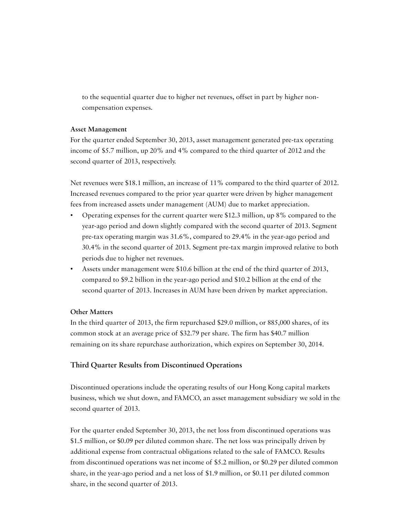to the sequential quarter due to higher net revenues, offset in part by higher noncompensation expenses.

### **Asset Management**

For the quarter ended September 30, 2013, asset management generated pre-tax operating income of \$5.7 million, up 20% and 4% compared to the third quarter of 2012 and the second quarter of 2013, respectively.

Net revenues were \$18.1 million, an increase of 11% compared to the third quarter of 2012. Increased revenues compared to the prior year quarter were driven by higher management fees from increased assets under management (AUM) due to market appreciation.

- Operating expenses for the current quarter were \$12.3 million, up 8% compared to the year-ago period and down slightly compared with the second quarter of 2013. Segment pre-tax operating margin was 31.6%, compared to 29.4% in the year-ago period and 30.4% in the second quarter of 2013. Segment pre-tax margin improved relative to both periods due to higher net revenues.
- Assets under management were \$10.6 billion at the end of the third quarter of 2013, compared to \$9.2 billion in the year-ago period and \$10.2 billion at the end of the second quarter of 2013. Increases in AUM have been driven by market appreciation.

### **Other Matters**

In the third quarter of 2013, the firm repurchased \$29.0 million, or 885,000 shares, of its common stock at an average price of \$32.79 per share. The firm has \$40.7 million remaining on its share repurchase authorization, which expires on September 30, 2014.

### **Third Quarter Results from Discontinued Operations**

Discontinued operations include the operating results of our Hong Kong capital markets business, which we shut down, and FAMCO, an asset management subsidiary we sold in the second quarter of 2013.

For the quarter ended September 30, 2013, the net loss from discontinued operations was \$1.5 million, or \$0.09 per diluted common share. The net loss was principally driven by additional expense from contractual obligations related to the sale of FAMCO. Results from discontinued operations was net income of \$5.2 million, or \$0.29 per diluted common share, in the year-ago period and a net loss of \$1.9 million, or \$0.11 per diluted common share, in the second quarter of 2013.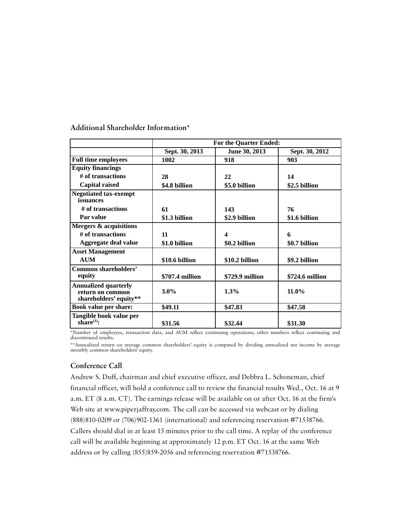|                                                                           | <b>For the Quarter Ended:</b> |                 |                 |  |  |  |  |  |
|---------------------------------------------------------------------------|-------------------------------|-----------------|-----------------|--|--|--|--|--|
|                                                                           | Sept. 30, 2013                | June 30, 2013   | Sept. 30, 2012  |  |  |  |  |  |
| <b>Full time employees</b>                                                | 1002                          | 918             | 903             |  |  |  |  |  |
| <b>Equity financings</b>                                                  |                               |                 |                 |  |  |  |  |  |
| # of transactions                                                         | 28                            | 22              | 14              |  |  |  |  |  |
| <b>Capital raised</b>                                                     | \$4.8 billion                 | \$5.0 billion   | \$2.5 billion   |  |  |  |  |  |
| <b>Negotiated tax-exempt</b><br>issuances                                 |                               |                 |                 |  |  |  |  |  |
| # of transactions                                                         | 61                            | 143             | 76              |  |  |  |  |  |
| Par value                                                                 | \$1.3 billion                 | \$2.9 billion   | \$1.6 billion   |  |  |  |  |  |
| <b>Mergers &amp; acquisitions</b>                                         |                               |                 |                 |  |  |  |  |  |
| # of transactions                                                         | 11                            | 4               | 6               |  |  |  |  |  |
| Aggregate deal value                                                      | \$1.0 billion                 | \$0.2 billion   | \$0.7 billion   |  |  |  |  |  |
| <b>Asset Management</b>                                                   |                               |                 |                 |  |  |  |  |  |
| <b>AUM</b>                                                                | \$10.6 billion                | \$10.2 billion  | \$9.2 billion   |  |  |  |  |  |
| Common shareholders'<br>equity                                            | \$707.4 million               | \$729.9 million | \$724.6 million |  |  |  |  |  |
| <b>Annualized quarterly</b><br>return on common<br>shareholders' equity** | $3.0\%$                       | 1.3%            | 11.0%           |  |  |  |  |  |
| <b>Book value per share:</b>                                              | \$49.11                       | \$47.83         | \$47.58         |  |  |  |  |  |
| Tangible book value per<br>share $^{(1)}$ :                               | \$31.56                       | \$32.44         | \$31.30         |  |  |  |  |  |

**Additional Shareholder Information\*** 

\*Number of employees, transaction data, and AUM reflect continuing operations; other numbers reflect continuing and discontinued results.

\*\*Annualized return on average common shareholders' equity is computed by dividing annualized net income by average monthly common shareholders' equity.

# **Conference Call**

Andrew S. Duff, chairman and chief executive officer, and Debbra L. Schoneman, chief financial officer, will hold a conference call to review the financial results Wed., Oct. 16 at 9 a.m. ET (8 a.m. CT). The earnings release will be available on or after Oct. 16 at the firm's Web site at www.piperjaffray.com. The call can be accessed via webcast or by dialing (888)810-0209 or (706)902-1361 (international) and referencing reservation #71538766. Callers should dial in at least 15 minutes prior to the call time. A replay of the conference call will be available beginning at approximately 12 p.m. ET Oct. 16 at the same Web address or by calling (855)859-2056 and referencing reservation #71538766.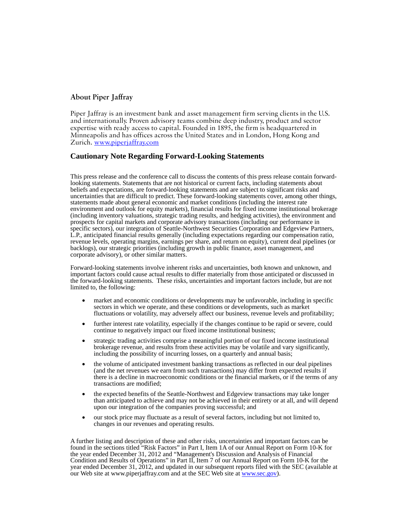### **About Piper Jaffray**

Piper Jaffray is an investment bank and asset management firm serving clients in the U.S. and internationally. Proven advisory teams combine deep industry, product and sector expertise with ready access to capital. Founded in 1895, the firm is headquartered in Minneapolis and has offices across the United States and in London, Hong Kong and Zurich. www.piperjaffray.com

#### **Cautionary Note Regarding Forward-Looking Statements**

This press release and the conference call to discuss the contents of this press release contain forwardlooking statements. Statements that are not historical or current facts, including statements about beliefs and expectations, are forward-looking statements and are subject to significant risks and uncertainties that are difficult to predict. These forward-looking statements cover, among other things, statements made about general economic and market conditions (including the interest rate environment and outlook for equity markets), financial results for fixed income institutional brokerage (including inventory valuations, strategic trading results, and hedging activities), the environment and prospects for capital markets and corporate advisory transactions (including our performance in specific sectors), our integration of Seattle-Northwest Securities Corporation and Edgeview Partners, L.P., anticipated financial results generally (including expectations regarding our compensation ratio, revenue levels, operating margins, earnings per share, and return on equity), current deal pipelines (or backlogs), our strategic priorities (including growth in public finance, asset management, and corporate advisory), or other similar matters.

Forward-looking statements involve inherent risks and uncertainties, both known and unknown, and important factors could cause actual results to differ materially from those anticipated or discussed in the forward-looking statements. These risks, uncertainties and important factors include, but are not limited to, the following:

- market and economic conditions or developments may be unfavorable, including in specific sectors in which we operate, and these conditions or developments, such as market fluctuations or volatility, may adversely affect our business, revenue levels and profitability;
- further interest rate volatility, especially if the changes continue to be rapid or severe, could continue to negatively impact our fixed income institutional business;
- strategic trading activities comprise a meaningful portion of our fixed income institutional brokerage revenue, and results from these activities may be volatile and vary significantly, including the possibility of incurring losses, on a quarterly and annual basis;
- the volume of anticipated investment banking transactions as reflected in our deal pipelines (and the net revenues we earn from such transactions) may differ from expected results if there is a decline in macroeconomic conditions or the financial markets, or if the terms of any transactions are modified;
- the expected benefits of the Seattle-Northwest and Edgeview transactions may take longer than anticipated to achieve and may not be achieved in their entirety or at all, and will depend upon our integration of the companies proving successful; and
- our stock price may fluctuate as a result of several factors, including but not limited to, changes in our revenues and operating results.

A further listing and description of these and other risks, uncertainties and important factors can be found in the sections titled "Risk Factors" in Part I, Item 1A of our Annual Report on Form 10-K for the year ended December 31, 2012 and "Management's Discussion and Analysis of Financial Condition and Results of Operations" in Part II, Item 7 of our Annual Report on Form 10-K for the year ended December 31, 2012, and updated in our subsequent reports filed with the SEC (available at our Web site at www.piperjaffray.com and at the SEC Web site at www.sec.gov).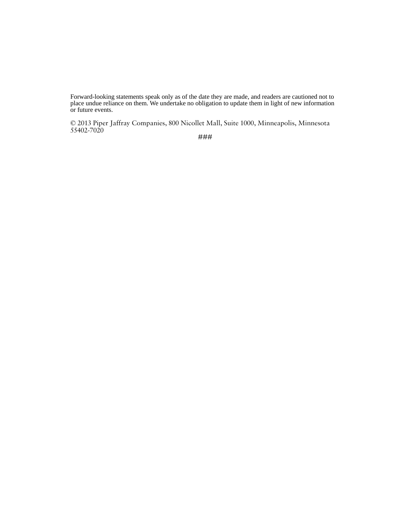Forward-looking statements speak only as of the date they are made, and readers are cautioned not to place undue reliance on them. We undertake no obligation to update them in light of new information or future events.

© 2013 Piper Jaffray Companies, 800 Nicollet Mall, Suite 1000, Minneapolis, Minnesota 55402-7020

###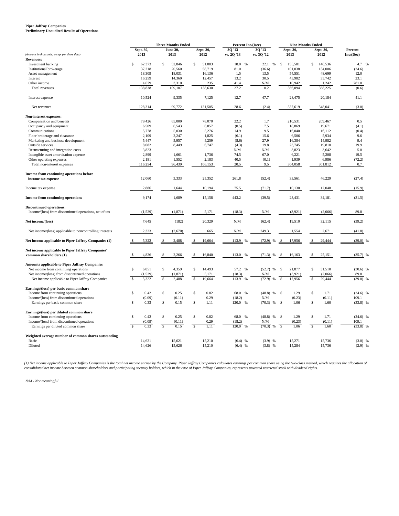# **Piper Jaffray Companies Preliminary Unaudited Results of Operations**

| 30 '13<br>30'13<br>Sept. 30,<br>Sept. 30,<br><b>June 30,</b><br>Sept. 30,<br>Sept. 30,<br>Percent<br>2013<br>2013<br>2012<br>vs. 2Q '13<br>vs. 3Q '12<br>2013<br>2012<br>(Amounts in thousands, except per share data)<br><b>Revenues:</b><br>\$<br>62,373<br>$\mathsf{\$}$<br>52,846<br>\$<br>51,083<br>18.0 %<br>22.1<br>\$<br>155,581<br>\$<br>148,536<br>$\%$<br>Investment banking<br>Institutional brokerage<br>37,218<br>20,560<br>58,719<br>81.0<br>(36.6)<br>101,038<br>134,006<br>18,031<br>54,551<br>48,699<br>Asset management<br>18,309<br>16,136<br>1.5<br>13.5<br>16,259<br>14,360<br>12,457<br>13.2<br>30.5<br>43,982<br>35,742<br>Interest<br>4,679<br>3,310<br>235<br>N/M<br>10,942<br>1.242<br>Other income<br>41.4<br>27.2<br>138,838<br>109,107<br>138,630<br>0.2<br>366,094<br>368,225<br>Total revenues<br>10,524<br>9,335<br>7,125<br>12.7<br>47.7<br>28,475<br>20,184<br>Interest expense<br>99,772<br>28.6<br>(2.4)<br>337,619<br>348,041<br>128,314<br>131,505<br>Net revenues<br>Non-interest expenses:<br>79,426<br>65,000<br>78,070<br>22.2<br>1.7<br>210,531<br>209,467<br>Compensation and benefits<br>6,509<br>6,543<br>6,057<br>(0.5)<br>7.5<br>18,869<br>19,671<br>Occupancy and equipment<br>5,030<br>5,276<br>9.5<br>16,112<br>5,778<br>14.9<br>16,040<br>Communications<br>2,247<br>1,825<br>15.6<br>6,506<br>5,934<br>Floor brokerage and clearance<br>2,109<br>(6.1)<br>Marketing and business development<br>5,447<br>5,957<br>4,259<br>(8.6)<br>27.9<br>16,384<br>14,982<br>Outside services<br>8,082<br>8,449<br>6,747<br>19.8<br>23,745<br>19,810<br>(4.3)<br>3,823<br>N/M<br>N/M<br>3,823<br>3,642<br>Restructuring and integration costs<br>Intangible asset amortization expense<br>2,899<br>1,661<br>1,736<br>74.5<br>67.0<br>6,221<br>5,208<br>1,939<br>Other operating expenses<br>2,181<br>1,552<br>2,183<br>40.5<br>6,986<br>(0.1)<br>116,254<br>96,439<br>106,153<br>20.5<br>9.5<br>304,058<br>301,812<br>Total non-interest expenses<br>Income from continuing operations before<br>12,060<br>3,333<br>25,352<br>261.8<br>(52.4)<br>33,561<br>46,229<br>income tax expense<br>2,886<br>10,194<br>10,130<br>12,048<br>Income tax expense<br>1,644<br>75.5<br>(71.7)<br>9,174<br>1,689<br>15,158<br>443.2<br>(39.5)<br>23,431<br>34,181<br><b>Income from continuing operations</b><br><b>Discontinued operations:</b><br>Income/(loss) from discontinued operations, net of tax<br>(1,529)<br>(1, 871)<br>5,171<br>(18.3)<br>N/M<br>(3,921)<br>(2,066)<br>20,329<br>$\mathrm{N}/\mathrm{M}$<br>7,645<br>(182)<br>(62.4)<br>19,510<br>32,115<br>Net income/(loss)<br>Net income/(loss) applicable to noncontrolling interests<br>2,323<br>(2,670)<br>665<br>N/M<br>249.3<br>1,554<br>2,671<br>(41.8)<br>Net income applicable to Piper Jaffray Companies (1)<br>5,322<br>2,488<br>19,664<br>113.9<br>(72.9)<br>17,956<br>29,444<br>$\frac{9}{6}$<br>Net income applicable to Piper Jaffray Companies'<br>common shareholders (1)<br>4,826<br>2,266<br>16,840<br>113.0<br>(71.3)<br>16,163<br>25,151<br>\$<br>\$<br>%<br>%<br>\$<br>\$<br><b>Amounts applicable to Piper Jaffray Companies</b><br>\$<br>6,851<br>\$<br>4,359<br>14,493<br>57.2 %<br>21,877<br>\$<br>31,510<br>Net income from continuing operations<br>\$<br>$(52.7)$ %<br>\$<br>(1, 871)<br>(3,921)<br>(2,066)<br>Net income/(loss) from discontinued operations<br>(1,529)<br>5,171<br>(18.3)<br>N/M<br>$\mathbf{s}$<br>5,322<br>$\mathbb{S}$<br>2,488<br>$\mathbb S$<br>19,664<br>113.9<br>(72.9)<br>%<br>17,956<br>29,444<br>Net income applicable to Piper Jaffray Companies<br>$\frac{9}{6}$<br><sup>\$</sup><br>$\mathbb{S}$<br>Earnings/(loss) per basic common share<br>\$<br>0.42<br>\$<br>0.25<br>\$<br>0.82<br>68.0 %<br>1.29<br>\$<br>Income from continuing operations<br>(48.8)<br>$\%$<br>\$<br>1.71<br>(0.09)<br>0.29<br>(0.23)<br>(0.11)<br>Income/(loss) from discontinued operations<br>(0.11)<br>(18.2)<br>N/M<br>$\mathsf{s}$<br>$\overline{\mathbf{s}}$<br>$\mathbf{s}$<br>0.33<br>0.15<br>1.11<br>120.0<br>(70.3)<br>%<br>$\mathbf{s}$<br>1.06<br>$\mathfrak{S}$<br>1.60<br>%<br>Earnings per basic common share<br>Earnings/(loss) per diluted common share<br>\$<br>0.42<br>\$<br>0.25<br>\$<br>0.82<br>68.0<br>$\%$<br>(48.8)<br>$\mathcal{S}$<br>1.29<br>\$<br>1.71<br>Income from continuing operations<br>$\%$<br>Income/(loss) from discontinued operations<br>(0.09)<br>(0.11)<br>0.29<br>(18.2)<br>N/M<br>(0.23)<br>(0.11)<br>$\overline{\mathbf{s}}$<br>$\overline{s}$<br>$\overline{\mathcal{S}}$<br>$\overline{\mathcal{S}}$<br>$\overline{\mathcal{S}}$<br>0.33<br>0.15<br>1.11<br>120.0<br>(70.3)<br>1.06<br>1.60<br>$\%$<br>Earnings per diluted common share<br>$\frac{0}{6}$<br>Weighted average number of common shares outstanding<br>15,621<br>15,210<br>Basic<br>14,621<br>$(6.4)$ %<br>$(3.9)$ %<br>15,271<br>15,736 | <b>Three Months Ended</b> |  |  | Percent Inc/(Dec) | <b>Nine Months Ended</b> |  |             |
|---------------------------------------------------------------------------------------------------------------------------------------------------------------------------------------------------------------------------------------------------------------------------------------------------------------------------------------------------------------------------------------------------------------------------------------------------------------------------------------------------------------------------------------------------------------------------------------------------------------------------------------------------------------------------------------------------------------------------------------------------------------------------------------------------------------------------------------------------------------------------------------------------------------------------------------------------------------------------------------------------------------------------------------------------------------------------------------------------------------------------------------------------------------------------------------------------------------------------------------------------------------------------------------------------------------------------------------------------------------------------------------------------------------------------------------------------------------------------------------------------------------------------------------------------------------------------------------------------------------------------------------------------------------------------------------------------------------------------------------------------------------------------------------------------------------------------------------------------------------------------------------------------------------------------------------------------------------------------------------------------------------------------------------------------------------------------------------------------------------------------------------------------------------------------------------------------------------------------------------------------------------------------------------------------------------------------------------------------------------------------------------------------------------------------------------------------------------------------------------------------------------------------------------------------------------------------------------------------------------------------------------------------------------------------------------------------------------------------------------------------------------------------------------------------------------------------------------------------------------------------------------------------------------------------------------------------------------------------------------------------------------------------------------------------------------------------------------------------------------------------------------------------------------------------------------------------------------------------------------------------------------------------------------------------------------------------------------------------------------------------------------------------------------------------------------------------------------------------------------------------------------------------------------------------------------------------------------------------------------------------------------------------------------------------------------------------------------------------------------------------------------------------------------------------------------------------------------------------------------------------------------------------------------------------------------------------------------------------------------------------------------------------------------------------------------------------------------------------------------------------------------------------------------------------------------------------------------------------------------------------------------------------------------------------------------------------------------------------------------------------------------------------------------------------------------------------------------------------------------------------------------------------------------------------------------------------------------------------------------------------------------------------------------------------------------------------------------------------------------------------------------------------------------------------------------------------------------------------------------------------------------|---------------------------|--|--|-------------------|--------------------------|--|-------------|
|                                                                                                                                                                                                                                                                                                                                                                                                                                                                                                                                                                                                                                                                                                                                                                                                                                                                                                                                                                                                                                                                                                                                                                                                                                                                                                                                                                                                                                                                                                                                                                                                                                                                                                                                                                                                                                                                                                                                                                                                                                                                                                                                                                                                                                                                                                                                                                                                                                                                                                                                                                                                                                                                                                                                                                                                                                                                                                                                                                                                                                                                                                                                                                                                                                                                                                                                                                                                                                                                                                                                                                                                                                                                                                                                                                                                                                                                                                                                                                                                                                                                                                                                                                                                                                                                                                                                                                                                                                                                                                                                                                                                                                                                                                                                                                                                                                                                                       |                           |  |  |                   |                          |  |             |
|                                                                                                                                                                                                                                                                                                                                                                                                                                                                                                                                                                                                                                                                                                                                                                                                                                                                                                                                                                                                                                                                                                                                                                                                                                                                                                                                                                                                                                                                                                                                                                                                                                                                                                                                                                                                                                                                                                                                                                                                                                                                                                                                                                                                                                                                                                                                                                                                                                                                                                                                                                                                                                                                                                                                                                                                                                                                                                                                                                                                                                                                                                                                                                                                                                                                                                                                                                                                                                                                                                                                                                                                                                                                                                                                                                                                                                                                                                                                                                                                                                                                                                                                                                                                                                                                                                                                                                                                                                                                                                                                                                                                                                                                                                                                                                                                                                                                                       |                           |  |  |                   |                          |  | Inc/(Dec)   |
|                                                                                                                                                                                                                                                                                                                                                                                                                                                                                                                                                                                                                                                                                                                                                                                                                                                                                                                                                                                                                                                                                                                                                                                                                                                                                                                                                                                                                                                                                                                                                                                                                                                                                                                                                                                                                                                                                                                                                                                                                                                                                                                                                                                                                                                                                                                                                                                                                                                                                                                                                                                                                                                                                                                                                                                                                                                                                                                                                                                                                                                                                                                                                                                                                                                                                                                                                                                                                                                                                                                                                                                                                                                                                                                                                                                                                                                                                                                                                                                                                                                                                                                                                                                                                                                                                                                                                                                                                                                                                                                                                                                                                                                                                                                                                                                                                                                                                       |                           |  |  |                   |                          |  |             |
|                                                                                                                                                                                                                                                                                                                                                                                                                                                                                                                                                                                                                                                                                                                                                                                                                                                                                                                                                                                                                                                                                                                                                                                                                                                                                                                                                                                                                                                                                                                                                                                                                                                                                                                                                                                                                                                                                                                                                                                                                                                                                                                                                                                                                                                                                                                                                                                                                                                                                                                                                                                                                                                                                                                                                                                                                                                                                                                                                                                                                                                                                                                                                                                                                                                                                                                                                                                                                                                                                                                                                                                                                                                                                                                                                                                                                                                                                                                                                                                                                                                                                                                                                                                                                                                                                                                                                                                                                                                                                                                                                                                                                                                                                                                                                                                                                                                                                       |                           |  |  |                   |                          |  | 4.7<br>%    |
|                                                                                                                                                                                                                                                                                                                                                                                                                                                                                                                                                                                                                                                                                                                                                                                                                                                                                                                                                                                                                                                                                                                                                                                                                                                                                                                                                                                                                                                                                                                                                                                                                                                                                                                                                                                                                                                                                                                                                                                                                                                                                                                                                                                                                                                                                                                                                                                                                                                                                                                                                                                                                                                                                                                                                                                                                                                                                                                                                                                                                                                                                                                                                                                                                                                                                                                                                                                                                                                                                                                                                                                                                                                                                                                                                                                                                                                                                                                                                                                                                                                                                                                                                                                                                                                                                                                                                                                                                                                                                                                                                                                                                                                                                                                                                                                                                                                                                       |                           |  |  |                   |                          |  | (24.6)      |
|                                                                                                                                                                                                                                                                                                                                                                                                                                                                                                                                                                                                                                                                                                                                                                                                                                                                                                                                                                                                                                                                                                                                                                                                                                                                                                                                                                                                                                                                                                                                                                                                                                                                                                                                                                                                                                                                                                                                                                                                                                                                                                                                                                                                                                                                                                                                                                                                                                                                                                                                                                                                                                                                                                                                                                                                                                                                                                                                                                                                                                                                                                                                                                                                                                                                                                                                                                                                                                                                                                                                                                                                                                                                                                                                                                                                                                                                                                                                                                                                                                                                                                                                                                                                                                                                                                                                                                                                                                                                                                                                                                                                                                                                                                                                                                                                                                                                                       |                           |  |  |                   |                          |  | 12.0        |
|                                                                                                                                                                                                                                                                                                                                                                                                                                                                                                                                                                                                                                                                                                                                                                                                                                                                                                                                                                                                                                                                                                                                                                                                                                                                                                                                                                                                                                                                                                                                                                                                                                                                                                                                                                                                                                                                                                                                                                                                                                                                                                                                                                                                                                                                                                                                                                                                                                                                                                                                                                                                                                                                                                                                                                                                                                                                                                                                                                                                                                                                                                                                                                                                                                                                                                                                                                                                                                                                                                                                                                                                                                                                                                                                                                                                                                                                                                                                                                                                                                                                                                                                                                                                                                                                                                                                                                                                                                                                                                                                                                                                                                                                                                                                                                                                                                                                                       |                           |  |  |                   |                          |  | 23.1        |
|                                                                                                                                                                                                                                                                                                                                                                                                                                                                                                                                                                                                                                                                                                                                                                                                                                                                                                                                                                                                                                                                                                                                                                                                                                                                                                                                                                                                                                                                                                                                                                                                                                                                                                                                                                                                                                                                                                                                                                                                                                                                                                                                                                                                                                                                                                                                                                                                                                                                                                                                                                                                                                                                                                                                                                                                                                                                                                                                                                                                                                                                                                                                                                                                                                                                                                                                                                                                                                                                                                                                                                                                                                                                                                                                                                                                                                                                                                                                                                                                                                                                                                                                                                                                                                                                                                                                                                                                                                                                                                                                                                                                                                                                                                                                                                                                                                                                                       |                           |  |  |                   |                          |  | 781.0       |
|                                                                                                                                                                                                                                                                                                                                                                                                                                                                                                                                                                                                                                                                                                                                                                                                                                                                                                                                                                                                                                                                                                                                                                                                                                                                                                                                                                                                                                                                                                                                                                                                                                                                                                                                                                                                                                                                                                                                                                                                                                                                                                                                                                                                                                                                                                                                                                                                                                                                                                                                                                                                                                                                                                                                                                                                                                                                                                                                                                                                                                                                                                                                                                                                                                                                                                                                                                                                                                                                                                                                                                                                                                                                                                                                                                                                                                                                                                                                                                                                                                                                                                                                                                                                                                                                                                                                                                                                                                                                                                                                                                                                                                                                                                                                                                                                                                                                                       |                           |  |  |                   |                          |  | (0.6)       |
|                                                                                                                                                                                                                                                                                                                                                                                                                                                                                                                                                                                                                                                                                                                                                                                                                                                                                                                                                                                                                                                                                                                                                                                                                                                                                                                                                                                                                                                                                                                                                                                                                                                                                                                                                                                                                                                                                                                                                                                                                                                                                                                                                                                                                                                                                                                                                                                                                                                                                                                                                                                                                                                                                                                                                                                                                                                                                                                                                                                                                                                                                                                                                                                                                                                                                                                                                                                                                                                                                                                                                                                                                                                                                                                                                                                                                                                                                                                                                                                                                                                                                                                                                                                                                                                                                                                                                                                                                                                                                                                                                                                                                                                                                                                                                                                                                                                                                       |                           |  |  |                   |                          |  | 41.1        |
|                                                                                                                                                                                                                                                                                                                                                                                                                                                                                                                                                                                                                                                                                                                                                                                                                                                                                                                                                                                                                                                                                                                                                                                                                                                                                                                                                                                                                                                                                                                                                                                                                                                                                                                                                                                                                                                                                                                                                                                                                                                                                                                                                                                                                                                                                                                                                                                                                                                                                                                                                                                                                                                                                                                                                                                                                                                                                                                                                                                                                                                                                                                                                                                                                                                                                                                                                                                                                                                                                                                                                                                                                                                                                                                                                                                                                                                                                                                                                                                                                                                                                                                                                                                                                                                                                                                                                                                                                                                                                                                                                                                                                                                                                                                                                                                                                                                                                       |                           |  |  |                   |                          |  | (3.0)       |
|                                                                                                                                                                                                                                                                                                                                                                                                                                                                                                                                                                                                                                                                                                                                                                                                                                                                                                                                                                                                                                                                                                                                                                                                                                                                                                                                                                                                                                                                                                                                                                                                                                                                                                                                                                                                                                                                                                                                                                                                                                                                                                                                                                                                                                                                                                                                                                                                                                                                                                                                                                                                                                                                                                                                                                                                                                                                                                                                                                                                                                                                                                                                                                                                                                                                                                                                                                                                                                                                                                                                                                                                                                                                                                                                                                                                                                                                                                                                                                                                                                                                                                                                                                                                                                                                                                                                                                                                                                                                                                                                                                                                                                                                                                                                                                                                                                                                                       |                           |  |  |                   |                          |  |             |
|                                                                                                                                                                                                                                                                                                                                                                                                                                                                                                                                                                                                                                                                                                                                                                                                                                                                                                                                                                                                                                                                                                                                                                                                                                                                                                                                                                                                                                                                                                                                                                                                                                                                                                                                                                                                                                                                                                                                                                                                                                                                                                                                                                                                                                                                                                                                                                                                                                                                                                                                                                                                                                                                                                                                                                                                                                                                                                                                                                                                                                                                                                                                                                                                                                                                                                                                                                                                                                                                                                                                                                                                                                                                                                                                                                                                                                                                                                                                                                                                                                                                                                                                                                                                                                                                                                                                                                                                                                                                                                                                                                                                                                                                                                                                                                                                                                                                                       |                           |  |  |                   |                          |  | 0.5         |
|                                                                                                                                                                                                                                                                                                                                                                                                                                                                                                                                                                                                                                                                                                                                                                                                                                                                                                                                                                                                                                                                                                                                                                                                                                                                                                                                                                                                                                                                                                                                                                                                                                                                                                                                                                                                                                                                                                                                                                                                                                                                                                                                                                                                                                                                                                                                                                                                                                                                                                                                                                                                                                                                                                                                                                                                                                                                                                                                                                                                                                                                                                                                                                                                                                                                                                                                                                                                                                                                                                                                                                                                                                                                                                                                                                                                                                                                                                                                                                                                                                                                                                                                                                                                                                                                                                                                                                                                                                                                                                                                                                                                                                                                                                                                                                                                                                                                                       |                           |  |  |                   |                          |  | (4.1)       |
|                                                                                                                                                                                                                                                                                                                                                                                                                                                                                                                                                                                                                                                                                                                                                                                                                                                                                                                                                                                                                                                                                                                                                                                                                                                                                                                                                                                                                                                                                                                                                                                                                                                                                                                                                                                                                                                                                                                                                                                                                                                                                                                                                                                                                                                                                                                                                                                                                                                                                                                                                                                                                                                                                                                                                                                                                                                                                                                                                                                                                                                                                                                                                                                                                                                                                                                                                                                                                                                                                                                                                                                                                                                                                                                                                                                                                                                                                                                                                                                                                                                                                                                                                                                                                                                                                                                                                                                                                                                                                                                                                                                                                                                                                                                                                                                                                                                                                       |                           |  |  |                   |                          |  | (0.4)       |
|                                                                                                                                                                                                                                                                                                                                                                                                                                                                                                                                                                                                                                                                                                                                                                                                                                                                                                                                                                                                                                                                                                                                                                                                                                                                                                                                                                                                                                                                                                                                                                                                                                                                                                                                                                                                                                                                                                                                                                                                                                                                                                                                                                                                                                                                                                                                                                                                                                                                                                                                                                                                                                                                                                                                                                                                                                                                                                                                                                                                                                                                                                                                                                                                                                                                                                                                                                                                                                                                                                                                                                                                                                                                                                                                                                                                                                                                                                                                                                                                                                                                                                                                                                                                                                                                                                                                                                                                                                                                                                                                                                                                                                                                                                                                                                                                                                                                                       |                           |  |  |                   |                          |  | 9.6         |
|                                                                                                                                                                                                                                                                                                                                                                                                                                                                                                                                                                                                                                                                                                                                                                                                                                                                                                                                                                                                                                                                                                                                                                                                                                                                                                                                                                                                                                                                                                                                                                                                                                                                                                                                                                                                                                                                                                                                                                                                                                                                                                                                                                                                                                                                                                                                                                                                                                                                                                                                                                                                                                                                                                                                                                                                                                                                                                                                                                                                                                                                                                                                                                                                                                                                                                                                                                                                                                                                                                                                                                                                                                                                                                                                                                                                                                                                                                                                                                                                                                                                                                                                                                                                                                                                                                                                                                                                                                                                                                                                                                                                                                                                                                                                                                                                                                                                                       |                           |  |  |                   |                          |  | 9.4         |
|                                                                                                                                                                                                                                                                                                                                                                                                                                                                                                                                                                                                                                                                                                                                                                                                                                                                                                                                                                                                                                                                                                                                                                                                                                                                                                                                                                                                                                                                                                                                                                                                                                                                                                                                                                                                                                                                                                                                                                                                                                                                                                                                                                                                                                                                                                                                                                                                                                                                                                                                                                                                                                                                                                                                                                                                                                                                                                                                                                                                                                                                                                                                                                                                                                                                                                                                                                                                                                                                                                                                                                                                                                                                                                                                                                                                                                                                                                                                                                                                                                                                                                                                                                                                                                                                                                                                                                                                                                                                                                                                                                                                                                                                                                                                                                                                                                                                                       |                           |  |  |                   |                          |  | 19.9        |
|                                                                                                                                                                                                                                                                                                                                                                                                                                                                                                                                                                                                                                                                                                                                                                                                                                                                                                                                                                                                                                                                                                                                                                                                                                                                                                                                                                                                                                                                                                                                                                                                                                                                                                                                                                                                                                                                                                                                                                                                                                                                                                                                                                                                                                                                                                                                                                                                                                                                                                                                                                                                                                                                                                                                                                                                                                                                                                                                                                                                                                                                                                                                                                                                                                                                                                                                                                                                                                                                                                                                                                                                                                                                                                                                                                                                                                                                                                                                                                                                                                                                                                                                                                                                                                                                                                                                                                                                                                                                                                                                                                                                                                                                                                                                                                                                                                                                                       |                           |  |  |                   |                          |  | 5.0         |
|                                                                                                                                                                                                                                                                                                                                                                                                                                                                                                                                                                                                                                                                                                                                                                                                                                                                                                                                                                                                                                                                                                                                                                                                                                                                                                                                                                                                                                                                                                                                                                                                                                                                                                                                                                                                                                                                                                                                                                                                                                                                                                                                                                                                                                                                                                                                                                                                                                                                                                                                                                                                                                                                                                                                                                                                                                                                                                                                                                                                                                                                                                                                                                                                                                                                                                                                                                                                                                                                                                                                                                                                                                                                                                                                                                                                                                                                                                                                                                                                                                                                                                                                                                                                                                                                                                                                                                                                                                                                                                                                                                                                                                                                                                                                                                                                                                                                                       |                           |  |  |                   |                          |  | 19.5        |
|                                                                                                                                                                                                                                                                                                                                                                                                                                                                                                                                                                                                                                                                                                                                                                                                                                                                                                                                                                                                                                                                                                                                                                                                                                                                                                                                                                                                                                                                                                                                                                                                                                                                                                                                                                                                                                                                                                                                                                                                                                                                                                                                                                                                                                                                                                                                                                                                                                                                                                                                                                                                                                                                                                                                                                                                                                                                                                                                                                                                                                                                                                                                                                                                                                                                                                                                                                                                                                                                                                                                                                                                                                                                                                                                                                                                                                                                                                                                                                                                                                                                                                                                                                                                                                                                                                                                                                                                                                                                                                                                                                                                                                                                                                                                                                                                                                                                                       |                           |  |  |                   |                          |  | (72.2)      |
|                                                                                                                                                                                                                                                                                                                                                                                                                                                                                                                                                                                                                                                                                                                                                                                                                                                                                                                                                                                                                                                                                                                                                                                                                                                                                                                                                                                                                                                                                                                                                                                                                                                                                                                                                                                                                                                                                                                                                                                                                                                                                                                                                                                                                                                                                                                                                                                                                                                                                                                                                                                                                                                                                                                                                                                                                                                                                                                                                                                                                                                                                                                                                                                                                                                                                                                                                                                                                                                                                                                                                                                                                                                                                                                                                                                                                                                                                                                                                                                                                                                                                                                                                                                                                                                                                                                                                                                                                                                                                                                                                                                                                                                                                                                                                                                                                                                                                       |                           |  |  |                   |                          |  | $0.7\,$     |
|                                                                                                                                                                                                                                                                                                                                                                                                                                                                                                                                                                                                                                                                                                                                                                                                                                                                                                                                                                                                                                                                                                                                                                                                                                                                                                                                                                                                                                                                                                                                                                                                                                                                                                                                                                                                                                                                                                                                                                                                                                                                                                                                                                                                                                                                                                                                                                                                                                                                                                                                                                                                                                                                                                                                                                                                                                                                                                                                                                                                                                                                                                                                                                                                                                                                                                                                                                                                                                                                                                                                                                                                                                                                                                                                                                                                                                                                                                                                                                                                                                                                                                                                                                                                                                                                                                                                                                                                                                                                                                                                                                                                                                                                                                                                                                                                                                                                                       |                           |  |  |                   |                          |  |             |
|                                                                                                                                                                                                                                                                                                                                                                                                                                                                                                                                                                                                                                                                                                                                                                                                                                                                                                                                                                                                                                                                                                                                                                                                                                                                                                                                                                                                                                                                                                                                                                                                                                                                                                                                                                                                                                                                                                                                                                                                                                                                                                                                                                                                                                                                                                                                                                                                                                                                                                                                                                                                                                                                                                                                                                                                                                                                                                                                                                                                                                                                                                                                                                                                                                                                                                                                                                                                                                                                                                                                                                                                                                                                                                                                                                                                                                                                                                                                                                                                                                                                                                                                                                                                                                                                                                                                                                                                                                                                                                                                                                                                                                                                                                                                                                                                                                                                                       |                           |  |  |                   |                          |  | (27.4)      |
|                                                                                                                                                                                                                                                                                                                                                                                                                                                                                                                                                                                                                                                                                                                                                                                                                                                                                                                                                                                                                                                                                                                                                                                                                                                                                                                                                                                                                                                                                                                                                                                                                                                                                                                                                                                                                                                                                                                                                                                                                                                                                                                                                                                                                                                                                                                                                                                                                                                                                                                                                                                                                                                                                                                                                                                                                                                                                                                                                                                                                                                                                                                                                                                                                                                                                                                                                                                                                                                                                                                                                                                                                                                                                                                                                                                                                                                                                                                                                                                                                                                                                                                                                                                                                                                                                                                                                                                                                                                                                                                                                                                                                                                                                                                                                                                                                                                                                       |                           |  |  |                   |                          |  | (15.9)      |
|                                                                                                                                                                                                                                                                                                                                                                                                                                                                                                                                                                                                                                                                                                                                                                                                                                                                                                                                                                                                                                                                                                                                                                                                                                                                                                                                                                                                                                                                                                                                                                                                                                                                                                                                                                                                                                                                                                                                                                                                                                                                                                                                                                                                                                                                                                                                                                                                                                                                                                                                                                                                                                                                                                                                                                                                                                                                                                                                                                                                                                                                                                                                                                                                                                                                                                                                                                                                                                                                                                                                                                                                                                                                                                                                                                                                                                                                                                                                                                                                                                                                                                                                                                                                                                                                                                                                                                                                                                                                                                                                                                                                                                                                                                                                                                                                                                                                                       |                           |  |  |                   |                          |  | (31.5)      |
|                                                                                                                                                                                                                                                                                                                                                                                                                                                                                                                                                                                                                                                                                                                                                                                                                                                                                                                                                                                                                                                                                                                                                                                                                                                                                                                                                                                                                                                                                                                                                                                                                                                                                                                                                                                                                                                                                                                                                                                                                                                                                                                                                                                                                                                                                                                                                                                                                                                                                                                                                                                                                                                                                                                                                                                                                                                                                                                                                                                                                                                                                                                                                                                                                                                                                                                                                                                                                                                                                                                                                                                                                                                                                                                                                                                                                                                                                                                                                                                                                                                                                                                                                                                                                                                                                                                                                                                                                                                                                                                                                                                                                                                                                                                                                                                                                                                                                       |                           |  |  |                   |                          |  |             |
|                                                                                                                                                                                                                                                                                                                                                                                                                                                                                                                                                                                                                                                                                                                                                                                                                                                                                                                                                                                                                                                                                                                                                                                                                                                                                                                                                                                                                                                                                                                                                                                                                                                                                                                                                                                                                                                                                                                                                                                                                                                                                                                                                                                                                                                                                                                                                                                                                                                                                                                                                                                                                                                                                                                                                                                                                                                                                                                                                                                                                                                                                                                                                                                                                                                                                                                                                                                                                                                                                                                                                                                                                                                                                                                                                                                                                                                                                                                                                                                                                                                                                                                                                                                                                                                                                                                                                                                                                                                                                                                                                                                                                                                                                                                                                                                                                                                                                       |                           |  |  |                   |                          |  | 89.8        |
|                                                                                                                                                                                                                                                                                                                                                                                                                                                                                                                                                                                                                                                                                                                                                                                                                                                                                                                                                                                                                                                                                                                                                                                                                                                                                                                                                                                                                                                                                                                                                                                                                                                                                                                                                                                                                                                                                                                                                                                                                                                                                                                                                                                                                                                                                                                                                                                                                                                                                                                                                                                                                                                                                                                                                                                                                                                                                                                                                                                                                                                                                                                                                                                                                                                                                                                                                                                                                                                                                                                                                                                                                                                                                                                                                                                                                                                                                                                                                                                                                                                                                                                                                                                                                                                                                                                                                                                                                                                                                                                                                                                                                                                                                                                                                                                                                                                                                       |                           |  |  |                   |                          |  | (39.2)      |
|                                                                                                                                                                                                                                                                                                                                                                                                                                                                                                                                                                                                                                                                                                                                                                                                                                                                                                                                                                                                                                                                                                                                                                                                                                                                                                                                                                                                                                                                                                                                                                                                                                                                                                                                                                                                                                                                                                                                                                                                                                                                                                                                                                                                                                                                                                                                                                                                                                                                                                                                                                                                                                                                                                                                                                                                                                                                                                                                                                                                                                                                                                                                                                                                                                                                                                                                                                                                                                                                                                                                                                                                                                                                                                                                                                                                                                                                                                                                                                                                                                                                                                                                                                                                                                                                                                                                                                                                                                                                                                                                                                                                                                                                                                                                                                                                                                                                                       |                           |  |  |                   |                          |  |             |
|                                                                                                                                                                                                                                                                                                                                                                                                                                                                                                                                                                                                                                                                                                                                                                                                                                                                                                                                                                                                                                                                                                                                                                                                                                                                                                                                                                                                                                                                                                                                                                                                                                                                                                                                                                                                                                                                                                                                                                                                                                                                                                                                                                                                                                                                                                                                                                                                                                                                                                                                                                                                                                                                                                                                                                                                                                                                                                                                                                                                                                                                                                                                                                                                                                                                                                                                                                                                                                                                                                                                                                                                                                                                                                                                                                                                                                                                                                                                                                                                                                                                                                                                                                                                                                                                                                                                                                                                                                                                                                                                                                                                                                                                                                                                                                                                                                                                                       |                           |  |  |                   |                          |  |             |
|                                                                                                                                                                                                                                                                                                                                                                                                                                                                                                                                                                                                                                                                                                                                                                                                                                                                                                                                                                                                                                                                                                                                                                                                                                                                                                                                                                                                                                                                                                                                                                                                                                                                                                                                                                                                                                                                                                                                                                                                                                                                                                                                                                                                                                                                                                                                                                                                                                                                                                                                                                                                                                                                                                                                                                                                                                                                                                                                                                                                                                                                                                                                                                                                                                                                                                                                                                                                                                                                                                                                                                                                                                                                                                                                                                                                                                                                                                                                                                                                                                                                                                                                                                                                                                                                                                                                                                                                                                                                                                                                                                                                                                                                                                                                                                                                                                                                                       |                           |  |  |                   |                          |  | (39.0)<br>% |
|                                                                                                                                                                                                                                                                                                                                                                                                                                                                                                                                                                                                                                                                                                                                                                                                                                                                                                                                                                                                                                                                                                                                                                                                                                                                                                                                                                                                                                                                                                                                                                                                                                                                                                                                                                                                                                                                                                                                                                                                                                                                                                                                                                                                                                                                                                                                                                                                                                                                                                                                                                                                                                                                                                                                                                                                                                                                                                                                                                                                                                                                                                                                                                                                                                                                                                                                                                                                                                                                                                                                                                                                                                                                                                                                                                                                                                                                                                                                                                                                                                                                                                                                                                                                                                                                                                                                                                                                                                                                                                                                                                                                                                                                                                                                                                                                                                                                                       |                           |  |  |                   |                          |  |             |
|                                                                                                                                                                                                                                                                                                                                                                                                                                                                                                                                                                                                                                                                                                                                                                                                                                                                                                                                                                                                                                                                                                                                                                                                                                                                                                                                                                                                                                                                                                                                                                                                                                                                                                                                                                                                                                                                                                                                                                                                                                                                                                                                                                                                                                                                                                                                                                                                                                                                                                                                                                                                                                                                                                                                                                                                                                                                                                                                                                                                                                                                                                                                                                                                                                                                                                                                                                                                                                                                                                                                                                                                                                                                                                                                                                                                                                                                                                                                                                                                                                                                                                                                                                                                                                                                                                                                                                                                                                                                                                                                                                                                                                                                                                                                                                                                                                                                                       |                           |  |  |                   |                          |  | $(35.7)$ %  |
|                                                                                                                                                                                                                                                                                                                                                                                                                                                                                                                                                                                                                                                                                                                                                                                                                                                                                                                                                                                                                                                                                                                                                                                                                                                                                                                                                                                                                                                                                                                                                                                                                                                                                                                                                                                                                                                                                                                                                                                                                                                                                                                                                                                                                                                                                                                                                                                                                                                                                                                                                                                                                                                                                                                                                                                                                                                                                                                                                                                                                                                                                                                                                                                                                                                                                                                                                                                                                                                                                                                                                                                                                                                                                                                                                                                                                                                                                                                                                                                                                                                                                                                                                                                                                                                                                                                                                                                                                                                                                                                                                                                                                                                                                                                                                                                                                                                                                       |                           |  |  |                   |                          |  |             |
|                                                                                                                                                                                                                                                                                                                                                                                                                                                                                                                                                                                                                                                                                                                                                                                                                                                                                                                                                                                                                                                                                                                                                                                                                                                                                                                                                                                                                                                                                                                                                                                                                                                                                                                                                                                                                                                                                                                                                                                                                                                                                                                                                                                                                                                                                                                                                                                                                                                                                                                                                                                                                                                                                                                                                                                                                                                                                                                                                                                                                                                                                                                                                                                                                                                                                                                                                                                                                                                                                                                                                                                                                                                                                                                                                                                                                                                                                                                                                                                                                                                                                                                                                                                                                                                                                                                                                                                                                                                                                                                                                                                                                                                                                                                                                                                                                                                                                       |                           |  |  |                   |                          |  | $(30.6)$ %  |
|                                                                                                                                                                                                                                                                                                                                                                                                                                                                                                                                                                                                                                                                                                                                                                                                                                                                                                                                                                                                                                                                                                                                                                                                                                                                                                                                                                                                                                                                                                                                                                                                                                                                                                                                                                                                                                                                                                                                                                                                                                                                                                                                                                                                                                                                                                                                                                                                                                                                                                                                                                                                                                                                                                                                                                                                                                                                                                                                                                                                                                                                                                                                                                                                                                                                                                                                                                                                                                                                                                                                                                                                                                                                                                                                                                                                                                                                                                                                                                                                                                                                                                                                                                                                                                                                                                                                                                                                                                                                                                                                                                                                                                                                                                                                                                                                                                                                                       |                           |  |  |                   |                          |  | 89.8        |
|                                                                                                                                                                                                                                                                                                                                                                                                                                                                                                                                                                                                                                                                                                                                                                                                                                                                                                                                                                                                                                                                                                                                                                                                                                                                                                                                                                                                                                                                                                                                                                                                                                                                                                                                                                                                                                                                                                                                                                                                                                                                                                                                                                                                                                                                                                                                                                                                                                                                                                                                                                                                                                                                                                                                                                                                                                                                                                                                                                                                                                                                                                                                                                                                                                                                                                                                                                                                                                                                                                                                                                                                                                                                                                                                                                                                                                                                                                                                                                                                                                                                                                                                                                                                                                                                                                                                                                                                                                                                                                                                                                                                                                                                                                                                                                                                                                                                                       |                           |  |  |                   |                          |  | (39.0)<br>% |
|                                                                                                                                                                                                                                                                                                                                                                                                                                                                                                                                                                                                                                                                                                                                                                                                                                                                                                                                                                                                                                                                                                                                                                                                                                                                                                                                                                                                                                                                                                                                                                                                                                                                                                                                                                                                                                                                                                                                                                                                                                                                                                                                                                                                                                                                                                                                                                                                                                                                                                                                                                                                                                                                                                                                                                                                                                                                                                                                                                                                                                                                                                                                                                                                                                                                                                                                                                                                                                                                                                                                                                                                                                                                                                                                                                                                                                                                                                                                                                                                                                                                                                                                                                                                                                                                                                                                                                                                                                                                                                                                                                                                                                                                                                                                                                                                                                                                                       |                           |  |  |                   |                          |  |             |
|                                                                                                                                                                                                                                                                                                                                                                                                                                                                                                                                                                                                                                                                                                                                                                                                                                                                                                                                                                                                                                                                                                                                                                                                                                                                                                                                                                                                                                                                                                                                                                                                                                                                                                                                                                                                                                                                                                                                                                                                                                                                                                                                                                                                                                                                                                                                                                                                                                                                                                                                                                                                                                                                                                                                                                                                                                                                                                                                                                                                                                                                                                                                                                                                                                                                                                                                                                                                                                                                                                                                                                                                                                                                                                                                                                                                                                                                                                                                                                                                                                                                                                                                                                                                                                                                                                                                                                                                                                                                                                                                                                                                                                                                                                                                                                                                                                                                                       |                           |  |  |                   |                          |  | $(24.6)$ %  |
|                                                                                                                                                                                                                                                                                                                                                                                                                                                                                                                                                                                                                                                                                                                                                                                                                                                                                                                                                                                                                                                                                                                                                                                                                                                                                                                                                                                                                                                                                                                                                                                                                                                                                                                                                                                                                                                                                                                                                                                                                                                                                                                                                                                                                                                                                                                                                                                                                                                                                                                                                                                                                                                                                                                                                                                                                                                                                                                                                                                                                                                                                                                                                                                                                                                                                                                                                                                                                                                                                                                                                                                                                                                                                                                                                                                                                                                                                                                                                                                                                                                                                                                                                                                                                                                                                                                                                                                                                                                                                                                                                                                                                                                                                                                                                                                                                                                                                       |                           |  |  |                   |                          |  | 109.1       |
|                                                                                                                                                                                                                                                                                                                                                                                                                                                                                                                                                                                                                                                                                                                                                                                                                                                                                                                                                                                                                                                                                                                                                                                                                                                                                                                                                                                                                                                                                                                                                                                                                                                                                                                                                                                                                                                                                                                                                                                                                                                                                                                                                                                                                                                                                                                                                                                                                                                                                                                                                                                                                                                                                                                                                                                                                                                                                                                                                                                                                                                                                                                                                                                                                                                                                                                                                                                                                                                                                                                                                                                                                                                                                                                                                                                                                                                                                                                                                                                                                                                                                                                                                                                                                                                                                                                                                                                                                                                                                                                                                                                                                                                                                                                                                                                                                                                                                       |                           |  |  |                   |                          |  | $(33.8)$ %  |
|                                                                                                                                                                                                                                                                                                                                                                                                                                                                                                                                                                                                                                                                                                                                                                                                                                                                                                                                                                                                                                                                                                                                                                                                                                                                                                                                                                                                                                                                                                                                                                                                                                                                                                                                                                                                                                                                                                                                                                                                                                                                                                                                                                                                                                                                                                                                                                                                                                                                                                                                                                                                                                                                                                                                                                                                                                                                                                                                                                                                                                                                                                                                                                                                                                                                                                                                                                                                                                                                                                                                                                                                                                                                                                                                                                                                                                                                                                                                                                                                                                                                                                                                                                                                                                                                                                                                                                                                                                                                                                                                                                                                                                                                                                                                                                                                                                                                                       |                           |  |  |                   |                          |  |             |
|                                                                                                                                                                                                                                                                                                                                                                                                                                                                                                                                                                                                                                                                                                                                                                                                                                                                                                                                                                                                                                                                                                                                                                                                                                                                                                                                                                                                                                                                                                                                                                                                                                                                                                                                                                                                                                                                                                                                                                                                                                                                                                                                                                                                                                                                                                                                                                                                                                                                                                                                                                                                                                                                                                                                                                                                                                                                                                                                                                                                                                                                                                                                                                                                                                                                                                                                                                                                                                                                                                                                                                                                                                                                                                                                                                                                                                                                                                                                                                                                                                                                                                                                                                                                                                                                                                                                                                                                                                                                                                                                                                                                                                                                                                                                                                                                                                                                                       |                           |  |  |                   |                          |  | $(24.6)$ %  |
|                                                                                                                                                                                                                                                                                                                                                                                                                                                                                                                                                                                                                                                                                                                                                                                                                                                                                                                                                                                                                                                                                                                                                                                                                                                                                                                                                                                                                                                                                                                                                                                                                                                                                                                                                                                                                                                                                                                                                                                                                                                                                                                                                                                                                                                                                                                                                                                                                                                                                                                                                                                                                                                                                                                                                                                                                                                                                                                                                                                                                                                                                                                                                                                                                                                                                                                                                                                                                                                                                                                                                                                                                                                                                                                                                                                                                                                                                                                                                                                                                                                                                                                                                                                                                                                                                                                                                                                                                                                                                                                                                                                                                                                                                                                                                                                                                                                                                       |                           |  |  |                   |                          |  | 109.1       |
|                                                                                                                                                                                                                                                                                                                                                                                                                                                                                                                                                                                                                                                                                                                                                                                                                                                                                                                                                                                                                                                                                                                                                                                                                                                                                                                                                                                                                                                                                                                                                                                                                                                                                                                                                                                                                                                                                                                                                                                                                                                                                                                                                                                                                                                                                                                                                                                                                                                                                                                                                                                                                                                                                                                                                                                                                                                                                                                                                                                                                                                                                                                                                                                                                                                                                                                                                                                                                                                                                                                                                                                                                                                                                                                                                                                                                                                                                                                                                                                                                                                                                                                                                                                                                                                                                                                                                                                                                                                                                                                                                                                                                                                                                                                                                                                                                                                                                       |                           |  |  |                   |                          |  | (33.8)<br>% |
|                                                                                                                                                                                                                                                                                                                                                                                                                                                                                                                                                                                                                                                                                                                                                                                                                                                                                                                                                                                                                                                                                                                                                                                                                                                                                                                                                                                                                                                                                                                                                                                                                                                                                                                                                                                                                                                                                                                                                                                                                                                                                                                                                                                                                                                                                                                                                                                                                                                                                                                                                                                                                                                                                                                                                                                                                                                                                                                                                                                                                                                                                                                                                                                                                                                                                                                                                                                                                                                                                                                                                                                                                                                                                                                                                                                                                                                                                                                                                                                                                                                                                                                                                                                                                                                                                                                                                                                                                                                                                                                                                                                                                                                                                                                                                                                                                                                                                       |                           |  |  |                   |                          |  |             |
|                                                                                                                                                                                                                                                                                                                                                                                                                                                                                                                                                                                                                                                                                                                                                                                                                                                                                                                                                                                                                                                                                                                                                                                                                                                                                                                                                                                                                                                                                                                                                                                                                                                                                                                                                                                                                                                                                                                                                                                                                                                                                                                                                                                                                                                                                                                                                                                                                                                                                                                                                                                                                                                                                                                                                                                                                                                                                                                                                                                                                                                                                                                                                                                                                                                                                                                                                                                                                                                                                                                                                                                                                                                                                                                                                                                                                                                                                                                                                                                                                                                                                                                                                                                                                                                                                                                                                                                                                                                                                                                                                                                                                                                                                                                                                                                                                                                                                       |                           |  |  |                   |                          |  | $(3.0)$ %   |
| 14,626<br>15,626<br>15,210<br>$(6.4)$ %<br>$(3.8)$ %<br>15,284<br>Diluted<br>15,736                                                                                                                                                                                                                                                                                                                                                                                                                                                                                                                                                                                                                                                                                                                                                                                                                                                                                                                                                                                                                                                                                                                                                                                                                                                                                                                                                                                                                                                                                                                                                                                                                                                                                                                                                                                                                                                                                                                                                                                                                                                                                                                                                                                                                                                                                                                                                                                                                                                                                                                                                                                                                                                                                                                                                                                                                                                                                                                                                                                                                                                                                                                                                                                                                                                                                                                                                                                                                                                                                                                                                                                                                                                                                                                                                                                                                                                                                                                                                                                                                                                                                                                                                                                                                                                                                                                                                                                                                                                                                                                                                                                                                                                                                                                                                                                                   |                           |  |  |                   |                          |  | $(2.9)$ %   |

(1) Net income applicable to Piper Jaffray Companies is the total net income earned by the Company. Piper Jaffray Companies calculates earnings per common share using the two-class method, which requires the allocation of<br>

*N/M - Not meaningful*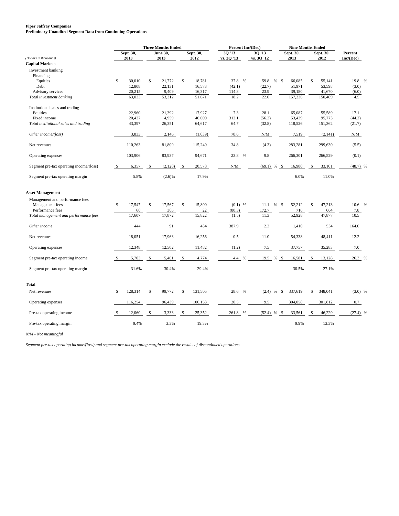#### **Piper Jaffray Companies**

**Preliminary Unaudited Segment Data from Continuing Operations**

|                                         |              | <b>Three Months Ended</b> |    |                 |     |           |               | Percent Inc/(Dec) |                         |      |           | <b>Nine Months Ended</b> |           |              |  |
|-----------------------------------------|--------------|---------------------------|----|-----------------|-----|-----------|---------------|-------------------|-------------------------|------|-----------|--------------------------|-----------|--------------|--|
|                                         |              | Sept. 30,                 |    | <b>June 30.</b> |     | Sept. 30, | 30'13         |                   | 30'13                   |      | Sept. 30, |                          | Sept. 30, | Percent      |  |
| (Dollars in thousands)                  |              | 2013                      |    | 2013            |     | 2012      | vs. 2Q '13    |                   | vs. 3Q '12              |      | 2013      |                          | 2012      | Inc/(Dec)    |  |
| <b>Capital Markets</b>                  |              |                           |    |                 |     |           |               |                   |                         |      |           |                          |           |              |  |
| Investment banking                      |              |                           |    |                 |     |           |               |                   |                         |      |           |                          |           |              |  |
| Financing                               |              |                           |    |                 |     |           |               |                   |                         |      |           |                          |           |              |  |
| Equities                                | \$           | 30,010                    | \$ | 21,772          | \$  | 18,781    | 37.8 %        |                   | 59.8<br>%               | -S   | 66,085    | \$                       | 55,141    | 19.8 %       |  |
| Debt                                    |              | 12,808                    |    | 22,131          |     | 16,573    | (42.1)        |                   | (22.7)                  |      | 51,971    |                          | 53,598    | (3.0)        |  |
| Advisory services                       |              | 20,215                    |    | 9,409           |     | 16,317    | 114.8<br>18.2 |                   | 23.9<br>22.0            |      | 39,180    |                          | 41,670    | (6.0)<br>4.5 |  |
| Total investment banking                |              | 63,033                    |    | 53,312          |     | 51,671    |               |                   |                         |      | 157,236   |                          | 150,409   |              |  |
| Institutional sales and trading         |              |                           |    |                 |     |           |               |                   |                         |      |           |                          |           |              |  |
| Equities                                |              | 22,960                    |    | 21,392          |     | 17,927    | 7.3           |                   | 28.1                    |      | 65,087    |                          | 55,589    | 17.1         |  |
| Fixed income                            |              | 20,437                    |    | 4,959           |     | 46,690    | 312.1         |                   | (56.2)                  |      | 53,439    |                          | 95,773    | (44.2)       |  |
| Total institutional sales and trading   |              | 43,397                    |    | 26,351          |     | 64,617    | 64.7          |                   | (32.8)                  |      | 118,526   |                          | 151,362   | (21.7)       |  |
| Other income/(loss)                     |              | 3,833                     |    | 2,146           |     | (1,039)   | 78.6          |                   | N/M                     |      | 7,519     |                          | (2,141)   | N/M          |  |
| Net revenues                            |              | 110.263                   |    | 81,809          |     | 115,249   | 34.8          |                   | (4.3)                   |      | 283,281   |                          | 299,630   | (5.5)        |  |
|                                         |              |                           |    |                 |     |           |               |                   |                         |      |           |                          |           |              |  |
| Operating expenses                      |              | 103,906                   |    | 83,937          |     | 94,671    | 23.8          | $\frac{0}{0}$     | 9.8                     |      | 266,301   |                          | 266,529   | (0.1)        |  |
| Segment pre-tax operating income/(loss) | \$           | 6,357                     | \$ | (2,128)         | -\$ | 20,578    | N/M           |                   | (69.1)<br>$\%$          | - \$ | 16,980    | <sup>\$</sup>            | 33,101    | $(48.7)$ %   |  |
| Segment pre-tax operating margin        |              | 5.8%                      |    | (2.6)%          |     | 17.9%     |               |                   |                         |      | 6.0%      |                          | 11.0%     |              |  |
| <b>Asset Management</b>                 |              |                           |    |                 |     |           |               |                   |                         |      |           |                          |           |              |  |
| Management and performance fees         |              |                           |    |                 |     |           |               |                   |                         |      |           |                          |           |              |  |
| Management fees                         | \$           | 17,547                    | \$ | 17,567          | \$  | 15,800    | $(0.1)$ %     |                   | $\%$<br>11.1            | - \$ | 52,212    | \$                       | 47,213    | 10.6%        |  |
| Performance fees                        |              | 60                        |    | 305             |     | $22\,$    | (80.3)        |                   | 172.7                   |      | 716       |                          | 664       | 7.8          |  |
| Total management and performance fees   |              | 17,607                    |    | 17,872          |     | 15,822    | (1.5)         |                   | 11.3                    |      | 52,928    |                          | 47,877    | 10.5         |  |
|                                         |              |                           |    |                 |     |           |               |                   |                         |      |           |                          |           |              |  |
| Other income                            |              | 444                       |    | 91              |     | 434       | 387.9         |                   | 2.3                     |      | 1,410     |                          | 534       | 164.0        |  |
| Net revenues                            |              | 18,051                    |    | 17,963          |     | 16,256    | 0.5           |                   | 11.0                    |      | 54,338    |                          | 48,411    | 12.2         |  |
|                                         |              |                           |    |                 |     |           |               |                   |                         |      |           |                          |           |              |  |
| Operating expenses                      |              | 12,348                    |    | 12,502          |     | 11,482    | (1.2)         |                   | 7.5                     |      | 37,757    |                          | 35,283    | 7.0          |  |
|                                         |              |                           |    |                 |     |           |               |                   |                         |      |           | <sup>\$</sup>            |           |              |  |
| Segment pre-tax operating income        | $\mathbb{S}$ | 5,703                     | \$ | 5,461           | \$  | 4,774     | 4.4           | $\%$              | 19.5<br>%               | - \$ | 16,581    |                          | 13,128    | 26.3 %       |  |
| Segment pre-tax operating margin        |              | 31.6%                     |    | 30.4%           |     | 29.4%     |               |                   |                         |      | 30.5%     |                          | 27.1%     |              |  |
| Total                                   |              |                           |    |                 |     |           |               |                   |                         |      |           |                          |           |              |  |
| Net revenues                            | S.           | 128,314                   | \$ | 99,772          | \$  | 131,505   | 28.6          | $\frac{9}{6}$     | $(2.4)$ %               | -\$  | 337,619   | \$                       | 348,041   | $(3.0)$ %    |  |
|                                         |              |                           |    |                 |     |           |               |                   |                         |      |           |                          |           |              |  |
| Operating expenses                      |              | 116,254                   |    | 96,439          |     | 106,153   | 20.5          |                   | 9.5                     |      | 304,058   |                          | 301,812   | 0.7          |  |
| Pre-tax operating income                |              | 12,060                    |    | 3,333           |     | 25,352    | 261.8         | $\frac{0}{0}$     | (52.4)<br>$\frac{0}{0}$ | \$   | 33,561    |                          | 46,229    | $(27.4)$ %   |  |
| Pre-tax operating margin                |              | 9.4%                      |    | 3.3%            |     | 19.3%     |               |                   |                         |      | 9.9%      |                          | 13.3%     |              |  |

*N/M - Not meaningful*

*Segment pre-tax operating income/(loss) and segment pre-tax operating margin exclude the results of discontinued operations.*